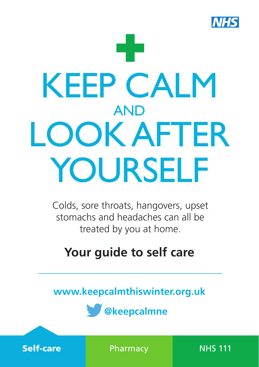

# ÷ KEEP CALM AND LOOK AFTER YOURSELF

Colds, sore throats, hangovers, upset stomachs and headaches can all be treated by you at home.

# **Your guide to self care**

**www.keepcalmthiswinter.org.uk** 



**Self-care Pharmacy** NHS 111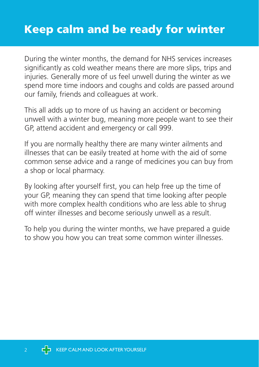## Keep calm and be ready for winter

During the winter months, the demand for NHS services increases significantly as cold weather means there are more slips, trips and injuries. Generally more of us feel unwell during the winter as we spend more time indoors and coughs and colds are passed around our family, friends and colleagues at work.

This all adds up to more of us having an accident or becoming unwell with a winter bug, meaning more people want to see their GP, attend accident and emergency or call 999.

If you are normally healthy there are many winter ailments and illnesses that can be easily treated at home with the aid of some common sense advice and a range of medicines you can buy from a shop or local pharmacy.

By looking after yourself first, you can help free up the time of your GP, meaning they can spend that time looking after people with more complex health conditions who are less able to shrug off winter illnesses and become seriously unwell as a result.

To help you during the winter months, we have prepared a guide to show you how you can treat some common winter illnesses.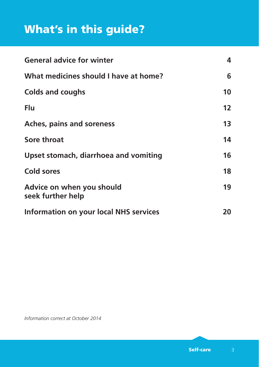# What's in this guide?

| <b>General advice for winter</b>               | 4  |
|------------------------------------------------|----|
| What medicines should I have at home?          | 6  |
| <b>Colds and coughs</b>                        | 10 |
| Flu                                            | 12 |
| <b>Aches, pains and soreness</b>               | 13 |
| Sore throat                                    | 14 |
| Upset stomach, diarrhoea and vomiting          | 16 |
| <b>Cold sores</b>                              | 18 |
| Advice on when you should<br>seek further help | 19 |
| Information on your local NHS services         | 20 |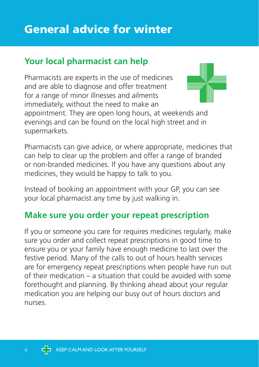#### **Your local pharmacist can help**

Pharmacists are experts in the use of medicines and are able to diagnose and offer treatment for a range of minor illnesses and ailments immediately, without the need to make an appointment. They are open long hours, at weekends and evenings and can be found on the local high street and in supermarkets.

Pharmacists can give advice, or where appropriate, medicines that can help to clear up the problem and offer a range of branded or non-branded medicines. If you have any questions about any medicines, they would be happy to talk to you.

Instead of booking an appointment with your GP, you can see your local pharmacist any time by just walking in.

#### **Make sure you order your repeat prescription**

If you or someone you care for requires medicines regularly, make sure you order and collect repeat prescriptions in good time to ensure you or your family have enough medicine to last over the festive period. Many of the calls to out of hours health services are for emergency repeat prescriptions when people have run out of their medication – a situation that could be avoided with some forethought and planning. By thinking ahead about your regular medication you are helping our busy out of hours doctors and nurses.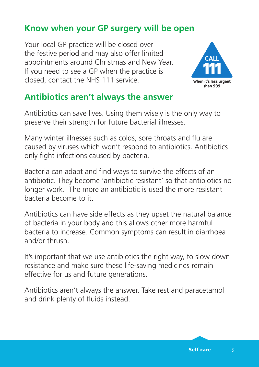## **Know when your GP surgery will be open**

Your local GP practice will be closed over the festive period and may also offer limited appointments around Christmas and New Year. If you need to see a GP when the practice is closed, contact the NHS 111 service.



#### **Antibiotics aren't always the answer**

Antibiotics can save lives. Using them wisely is the only way to preserve their strength for future bacterial illnesses.

Many winter illnesses such as colds, sore throats and flu are caused by viruses which won't respond to antibiotics. Antibiotics only fight infections caused by bacteria.

Bacteria can adapt and find ways to survive the effects of an antibiotic. They become 'antibiotic resistant' so that antibiotics no longer work. The more an antibiotic is used the more resistant bacteria become to it.

Antibiotics can have side effects as they upset the natural balance of bacteria in your body and this allows other more harmful bacteria to increase. Common symptoms can result in diarrhoea and/or thrush.

It's important that we use antibiotics the right way, to slow down resistance and make sure these life-saving medicines remain effective for us and future generations.

Antibiotics aren't always the answer. Take rest and paracetamol and drink plenty of fluids instead.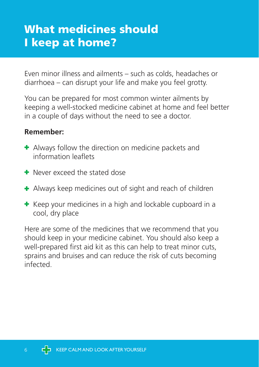# What medicines should I keep at home?

Even minor illness and ailments – such as colds, headaches or diarrhoea – can disrupt your life and make you feel grotty.

You can be prepared for most common winter ailments by keeping a well-stocked medicine cabinet at home and feel better in a couple of days without the need to see a doctor.

#### **Remember:**

- **+** Always follow the direction on medicine packets and information leaflets
- Never exceed the stated dose
- Always keep medicines out of sight and reach of children
- $\pm$  Keep your medicines in a high and lockable cupboard in a cool, dry place

Here are some of the medicines that we recommend that you should keep in your medicine cabinet. You should also keep a well-prepared first aid kit as this can help to treat minor cuts, sprains and bruises and can reduce the risk of cuts becoming infected.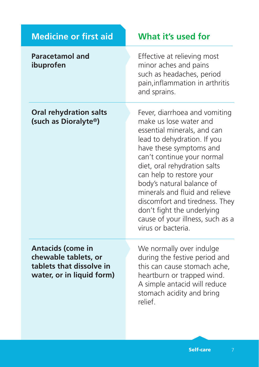| <b>Medicine or first aid</b>                                                                              | What it's used for                                                                                                                                                                                                                                                                                                                                                                                                                  |
|-----------------------------------------------------------------------------------------------------------|-------------------------------------------------------------------------------------------------------------------------------------------------------------------------------------------------------------------------------------------------------------------------------------------------------------------------------------------------------------------------------------------------------------------------------------|
| <b>Paracetamol and</b><br>ibuprofen                                                                       | Effective at relieving most<br>minor aches and pains<br>such as headaches, period<br>pain, inflammation in arthritis<br>and sprains.                                                                                                                                                                                                                                                                                                |
| <b>Oral rehydration salts</b><br>(such as Dioralyte®)                                                     | Fever, diarrhoea and vomiting<br>make us lose water and<br>essential minerals, and can<br>lead to dehydration. If you<br>have these symptoms and<br>can't continue your normal<br>diet, oral rehydration salts<br>can help to restore your<br>body's natural balance of<br>minerals and fluid and relieve<br>discomfort and tiredness. They<br>don't fight the underlying<br>cause of your illness, such as a<br>virus or bacteria. |
| <b>Antacids (come in</b><br>chewable tablets, or<br>tablets that dissolve in<br>water, or in liquid form) | We normally over indulge<br>during the festive period and<br>this can cause stomach ache,<br>heartburn or trapped wind.<br>A simple antacid will reduce<br>stomach acidity and bring<br>relief.                                                                                                                                                                                                                                     |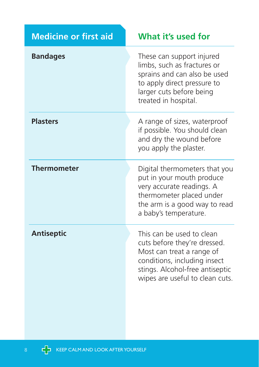| <b>Medicine or first aid</b> | What it's used for                                                                                                                                                                           |
|------------------------------|----------------------------------------------------------------------------------------------------------------------------------------------------------------------------------------------|
| <b>Bandages</b>              | These can support injured<br>limbs, such as fractures or<br>sprains and can also be used<br>to apply direct pressure to<br>larger cuts before being<br>treated in hospital.                  |
| <b>Plasters</b>              | A range of sizes, waterproof<br>if possible. You should clean<br>and dry the wound before<br>you apply the plaster.                                                                          |
| <b>Thermometer</b>           | Digital thermometers that you<br>put in your mouth produce<br>very accurate readings. A<br>thermometer placed under<br>the arm is a good way to read<br>a baby's temperature.                |
| <b>Antiseptic</b>            | This can be used to clean<br>cuts before they're dressed.<br>Most can treat a range of<br>conditions, including insect<br>stings. Alcohol-free antiseptic<br>wipes are useful to clean cuts. |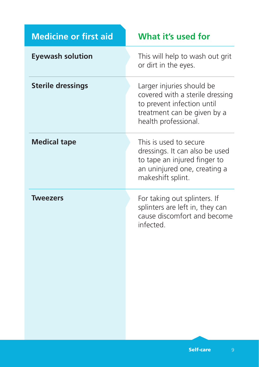| <b>Medicine or first aid</b> | What it's used for                                                                                                                                |
|------------------------------|---------------------------------------------------------------------------------------------------------------------------------------------------|
| <b>Eyewash solution</b>      | This will help to wash out grit<br>or dirt in the eyes.                                                                                           |
| <b>Sterile dressings</b>     | Larger injuries should be<br>covered with a sterile dressing<br>to prevent infection until<br>treatment can be given by a<br>health professional. |
| <b>Medical tape</b>          | This is used to secure<br>dressings. It can also be used<br>to tape an injured finger to<br>an uninjured one, creating a<br>makeshift splint.     |
| <b>Tweezers</b>              | For taking out splinters. If<br>splinters are left in, they can<br>cause discomfort and become<br>infected.                                       |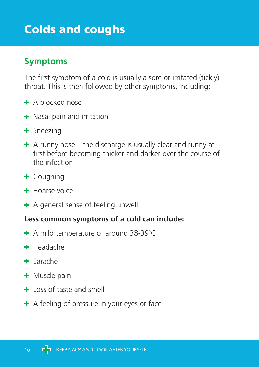# Colds and coughs

## **Symptoms**

The first symptom of a cold is usually a sore or irritated (tickly) throat. This is then followed by other symptoms, including:

- A blocked nose
- **+** Nasal pain and irritation
- + Sneezing
- $\pm$  A runny nose the discharge is usually clear and runny at first before becoming thicker and darker over the course of the infection
- Coughing
- $\bigoplus$  Hoarse voice
- **+** A general sense of feeling unwell

#### **Less common symptoms of a cold can include:**

- A mild temperature of around 38-39°C
- $H$ Headache
- + Earache
- + Muscle pain
- $\pm$  Loss of taste and smell
- $\div$  A feeling of pressure in your eyes or face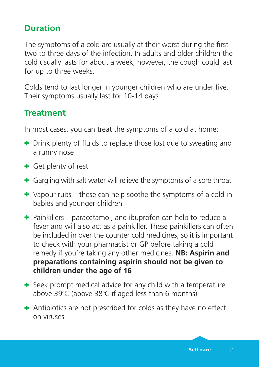#### **Duration**

The symptoms of a cold are usually at their worst during the first two to three days of the infection. In adults and older children the cold usually lasts for about a week, however, the cough could last for up to three weeks.

Colds tend to last longer in younger children who are under five. Their symptoms usually last for 10-14 days.

#### **Treatment**

In most cases, you can treat the symptoms of a cold at home:

- **+** Drink plenty of fluids to replace those lost due to sweating and a runny nose
- + Get plenty of rest
- **+** Gargling with salt water will relieve the symptoms of a sore throat
- $\div$  Vapour rubs these can help soothe the symptoms of a cold in babies and younger children
- $\div$  Painkillers paracetamol, and ibuprofen can help to reduce a fever and will also act as a painkiller. These painkillers can often be included in over the counter cold medicines, so it is important to check with your pharmacist or GP before taking a cold remedy if you're taking any other medicines. **NB: Aspirin and preparations containing aspirin should not be given to children under the age of 16**
- $\div$  Seek prompt medical advice for any child with a temperature above 39°C (above 38°C if aged less than 6 months)
- Antibiotics are not prescribed for colds as they have no effect on viruses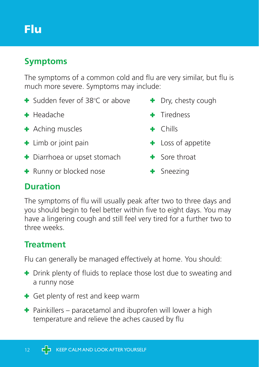# Flu

## **Symptoms**

The symptoms of a common cold and flu are very similar, but flu is much more severe. Symptoms may include:

- $\div$  Sudden fever of 38 $^{\circ}$ C or above
- Headache Tiredness
- + Aching muscles The Research Hills
- **+** Limb or joint pain
- $\div$  Diarrhoea or upset stomach  $\div$  Sore throat
- + Runny or blocked nose + Sneezing
- $\bullet$  Dry, chesty cough
	-
	-
- 
- 
- 

#### **Duration**

The symptoms of flu will usually peak after two to three days and you should begin to feel better within five to eight days. You may have a lingering cough and still feel very tired for a further two to three weeks.

## **Treatment**

Flu can generally be managed effectively at home. You should:

- **+** Drink plenty of fluids to replace those lost due to sweating and a runny nose
- **+** Get plenty of rest and keep warm
- $\div$  Painkillers paracetamol and ibuprofen will lower a high temperature and relieve the aches caused by flu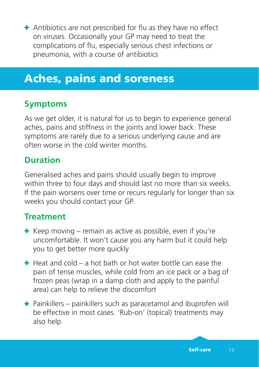Antibiotics are not prescribed for flu as they have no effect on viruses. Occasionally your GP may need to treat the complications of flu, especially serious chest infections or pneumonia, with a course of antibiotics

## Aches, pains and soreness

#### **Symptoms**

As we get older, it is natural for us to begin to experience general aches, pains and stiffness in the joints and lower back. These symptoms are rarely due to a serious underlying cause and are often worse in the cold winter months.

#### **Duration**

Generalised aches and pains should usually begin to improve within three to four days and should last no more than six weeks. If the pain worsens over time or recurs regularly for longer than six weeks you should contact your GP.

#### **Treatment**

- $\pm$  Keep moving remain as active as possible, even if you're uncomfortable. It won't cause you any harm but it could help you to get better more quickly
- $\pm$  Heat and cold a hot bath or hot water bottle can ease the pain of tense muscles, while cold from an ice pack or a bag of frozen peas (wrap in a damp cloth and apply to the painful area) can help to relieve the discomfort
- $\div$  Painkillers painkillers such as paracetamol and ibuprofen will be effective in most cases. 'Rub-on' (topical) treatments may also help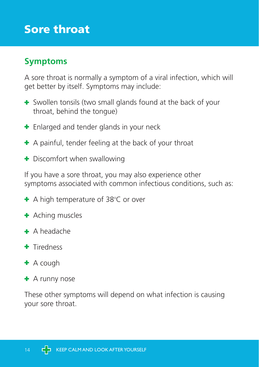## Sore throat

## **Symptoms**

A sore throat is normally a symptom of a viral infection, which will get better by itself. Symptoms may include:

- Swollen tonsils (two small glands found at the back of your throat, behind the tongue)
- **+** Enlarged and tender glands in your neck
- $\pm$  A painful, tender feeling at the back of your throat
- + Discomfort when swallowing

If you have a sore throat, you may also experience other symptoms associated with common infectious conditions, such as:

- A high temperature of 38°C or over
- **+** Aching muscles
- $\div$  A headache
- **+** Tiredness
- $\pm$  A cough
- $\pm$  A runny nose

These other symptoms will depend on what infection is causing your sore throat.

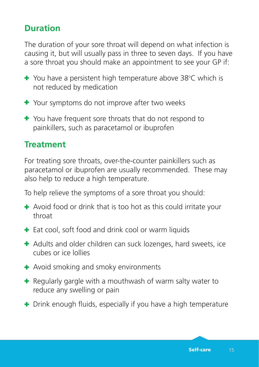#### **Duration**

The duration of your sore throat will depend on what infection is causing it, but will usually pass in three to seven days. If you have a sore throat you should make an appointment to see your GP if:

- You have a persistent high temperature above 38°C which is not reduced by medication
- Your symptoms do not improve after two weeks
- You have frequent sore throats that do not respond to painkillers, such as paracetamol or ibuprofen

#### **Treatment**

For treating sore throats, over-the-counter painkillers such as paracetamol or ibuprofen are usually recommended. These may also help to reduce a high temperature.

To help relieve the symptoms of a sore throat you should:

- + Avoid food or drink that is too hot as this could irritate your throat
- **+** Eat cool, soft food and drink cool or warm liquids
- **+** Adults and older children can suck lozenges, hard sweets, ice cubes or ice lollies
- **+** Avoid smoking and smoky environments
- + Regularly gargle with a mouthwash of warm salty water to reduce any swelling or pain
- **+** Drink enough fluids, especially if you have a high temperature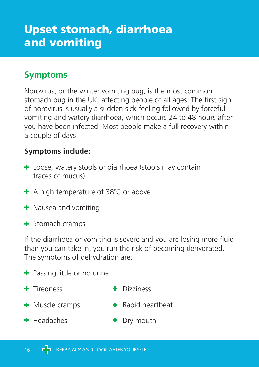# Upset stomach, diarrhoea and vomiting

## **Symptoms**

Norovirus, or the winter vomiting bug, is the most common stomach bug in the UK, affecting people of all ages. The first sign of norovirus is usually a sudden sick feeling followed by forceful vomiting and watery diarrhoea, which occurs 24 to 48 hours after you have been infected. Most people make a full recovery within a couple of days.

#### **Symptoms include:**

- **+** Loose, watery stools or diarrhoea (stools may contain traces of mucus)
- A high temperature of 38°C or above
- **+** Nausea and vomiting
- + Stomach cramps

If the diarrhoea or vomiting is severe and you are losing more fluid than you can take in, you run the risk of becoming dehydrated. The symptoms of dehydration are:

- + Passing little or no urine
- + Tiredness + Dizziness
- + Muscle cramps + Rapid heartbeat
- 
- + Headaches + Dry mouth
	-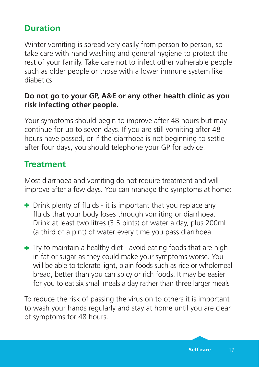#### **Duration**

Winter vomiting is spread very easily from person to person, so take care with hand washing and general hygiene to protect the rest of your family. Take care not to infect other vulnerable people such as older people or those with a lower immune system like diabetics.

#### **Do not go to your GP, A&E or any other health clinic as you risk infecting other people.**

Your symptoms should begin to improve after 48 hours but may continue for up to seven days. If you are still vomiting after 48 hours have passed, or if the diarrhoea is not beginning to settle after four days, you should telephone your GP for advice.

#### **Treatment**

Most diarrhoea and vomiting do not require treatment and will improve after a few days. You can manage the symptoms at home:

- **+** Drink plenty of fluids it is important that you replace any fluids that your body loses through vomiting or diarrhoea. Drink at least two litres (3.5 pints) of water a day, plus 200ml (a third of a pint) of water every time you pass diarrhoea.
- $\pm$  Try to maintain a healthy diet avoid eating foods that are high in fat or sugar as they could make your symptoms worse. You will be able to tolerate light, plain foods such as rice or wholemeal bread, better than you can spicy or rich foods. It may be easier for you to eat six small meals a day rather than three larger meals

To reduce the risk of passing the virus on to others it is important to wash your hands regularly and stay at home until you are clear of symptoms for 48 hours.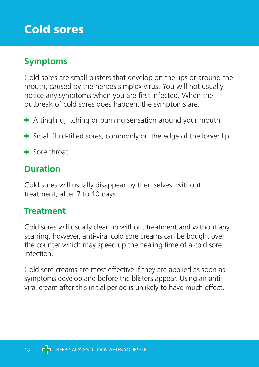# Cold sores

## **Symptoms**

Cold sores are small blisters that develop on the lips or around the mouth, caused by the herpes simplex virus. You will not usually notice any symptoms when you are first infected. When the outbreak of cold sores does happen, the symptoms are:

- <sup>+</sup> A tingling, itching or burning sensation around your mouth
- Small fluid-filled sores, commonly on the edge of the lower lip
- **+** Sore throat

#### **Duration**

Cold sores will usually disappear by themselves, without treatment, after 7 to 10 days.

#### **Treatment**

Cold sores will usually clear up without treatment and without any scarring, however, anti-viral cold sore creams can be bought over the counter which may speed up the healing time of a cold sore infection.

Cold sore creams are most effective if they are applied as soon as symptoms develop and before the blisters appear. Using an antiviral cream after this initial period is unlikely to have much effect.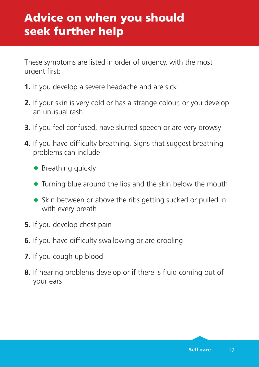These symptoms are listed in order of urgency, with the most urgent first:

- **1.** If you develop a severe headache and are sick
- **2.** If your skin is very cold or has a strange colour, or you develop an unusual rash
- **3.** If you feel confused, have slurred speech or are very drowsy
- **4.** If you have difficulty breathing. Signs that suggest breathing problems can include:
	- **+** Breathing quickly
	- $+$  Turning blue around the lips and the skin below the mouth
	- **+** Skin between or above the ribs getting sucked or pulled in with every breath
- **5.** If you develop chest pain
- **6.** If you have difficulty swallowing or are drooling
- **7.** If you cough up blood
- **8.** If hearing problems develop or if there is fluid coming out of your ears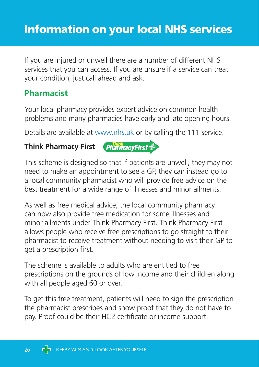## Information on your local NHS services

If you are injured or unwell there are a number of different NHS services that you can access. If you are unsure if a service can treat your condition, just call ahead and ask.

#### **Pharmacist**

Your local pharmacy provides expert advice on common health problems and many pharmacies have early and late opening hours.

Details are available at www.nhs.uk or by calling the 111 service.

#### **Think Pharmacy First**



This scheme is designed so that if patients are unwell, they may not need to make an appointment to see a GP, they can instead go to a local community pharmacist who will provide free advice on the best treatment for a wide range of illnesses and minor ailments.

As well as free medical advice, the local community pharmacy can now also provide free medication for some illnesses and minor ailments under Think Pharmacy First. Think Pharmacy First allows people who receive free prescriptions to go straight to their pharmacist to receive treatment without needing to visit their GP to get a prescription first.

The scheme is available to adults who are entitled to free prescriptions on the grounds of low income and their children along with all people aged 60 or over.

To get this free treatment, patients will need to sign the prescription the pharmacist prescribes and show proof that they do not have to pay. Proof could be their HC2 certificate or income support.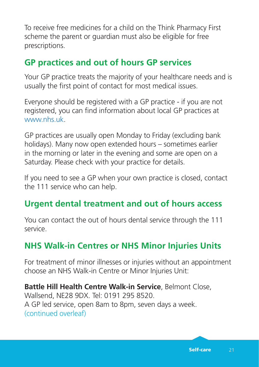To receive free medicines for a child on the Think Pharmacy First scheme the parent or guardian must also be eligible for free prescriptions.

#### **GP practices and out of hours GP services**

Your GP practice treats the majority of your healthcare needs and is usually the first point of contact for most medical issues.

Everyone should be registered with a GP practice - if you are not registered, you can find information about local GP practices at www.nhs.uk

GP practices are usually open Monday to Friday (excluding bank holidays). Many now open extended hours – sometimes earlier in the morning or later in the evening and some are open on a Saturday. Please check with your practice for details.

If you need to see a GP when your own practice is closed, contact the 111 service who can help.

## **Urgent dental treatment and out of hours access**

You can contact the out of hours dental service through the 111 service.

## **NHS Walk-in Centres or NHS Minor Injuries Units**

For treatment of minor illnesses or injuries without an appointment choose an NHS Walk-in Centre or Minor Injuries Unit:

**Battle Hill Health Centre Walk-in Service**, Belmont Close, Wallsend, NE28 9DX. Tel: 0191 295 8520. A GP led service, open 8am to 8pm, seven days a week. (continued overleaf)